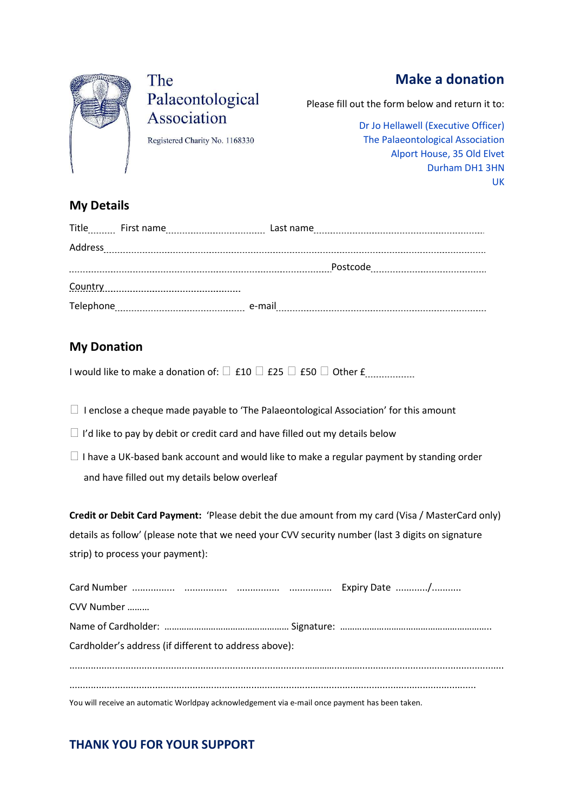

# The Palaeontological Association

Registered Charity No. 1168330

## Make a donation

Please fill out the form below and return it to:

Dr Jo Hellawell (Executive Officer) The Palaeontological Association Alport House, 35 Old Elvet Durham DH1 3HN UK

#### My Details

| Address   |        |          |
|-----------|--------|----------|
|           |        | Postcode |
| Country   |        |          |
| Telephone | e-mail |          |

#### My Donation

I would like to make a donation of:  $\Box$  £10  $\Box$  £25  $\Box$  £50  $\Box$  Other £ $\ldots$ 

 $\Box$  I enclose a cheque made payable to 'The Palaeontological Association' for this amount

- $\Box$  I'd like to pay by debit or credit card and have filled out my details below
- $\Box$  I have a UK-based bank account and would like to make a regular payment by standing order and have filled out my details below overleaf

Credit or Debit Card Payment: 'Please debit the due amount from my card (Visa / MasterCard only) details as follow' (please note that we need your CVV security number (last 3 digits on signature strip) to process your payment):

| CVV Number                                                                                     |  |  |  |  |  |
|------------------------------------------------------------------------------------------------|--|--|--|--|--|
|                                                                                                |  |  |  |  |  |
| Cardholder's address (if different to address above):                                          |  |  |  |  |  |
|                                                                                                |  |  |  |  |  |
|                                                                                                |  |  |  |  |  |
| You will receive an automatic Worldpay acknowledgement via e-mail once payment has been taken. |  |  |  |  |  |

### THANK YOU FOR YOUR SUPPORT